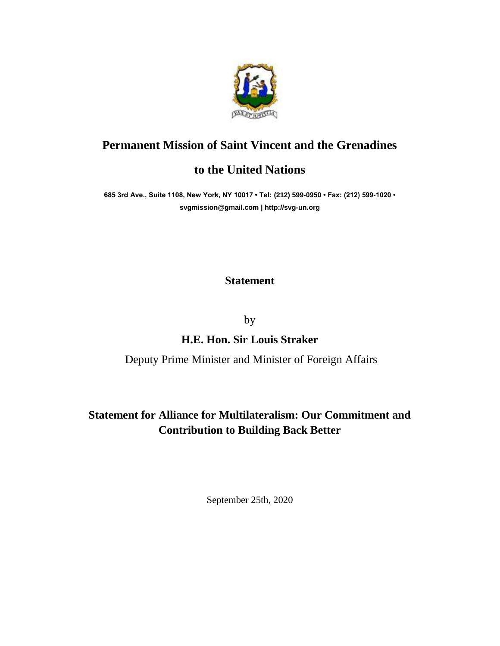

### **Permanent Mission of Saint Vincent and the Grenadines**

### **to the United Nations**

**685 3rd Ave., Suite 1108, New York, NY 10017 • Tel: (212) 599-0950 • Fax: (212) 599-1020 • [svgmission@gmail.com](mailto:svgmission@gmail.com) | [http://svg-un.org](http://svg-un.org/)**

#### **Statement**

by

## **H.E. Hon. Sir Louis Straker**

#### Deputy Prime Minister and Minister of Foreign Affairs

# **Statement for Alliance for Multilateralism: Our Commitment and Contribution to Building Back Better**

September 25th, 2020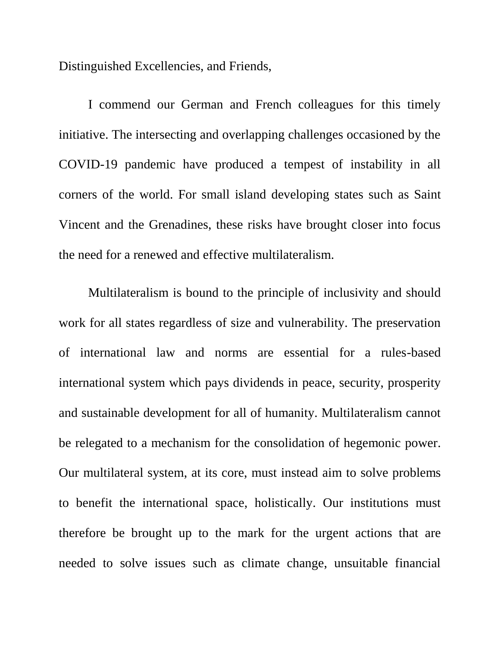Distinguished Excellencies, and Friends,

I commend our German and French colleagues for this timely initiative. The intersecting and overlapping challenges occasioned by the COVID-19 pandemic have produced a tempest of instability in all corners of the world. For small island developing states such as Saint Vincent and the Grenadines, these risks have brought closer into focus the need for a renewed and effective multilateralism.

Multilateralism is bound to the principle of inclusivity and should work for all states regardless of size and vulnerability. The preservation of international law and norms are essential for a rules-based international system which pays dividends in peace, security, prosperity and sustainable development for all of humanity. Multilateralism cannot be relegated to a mechanism for the consolidation of hegemonic power. Our multilateral system, at its core, must instead aim to solve problems to benefit the international space, holistically. Our institutions must therefore be brought up to the mark for the urgent actions that are needed to solve issues such as climate change, unsuitable financial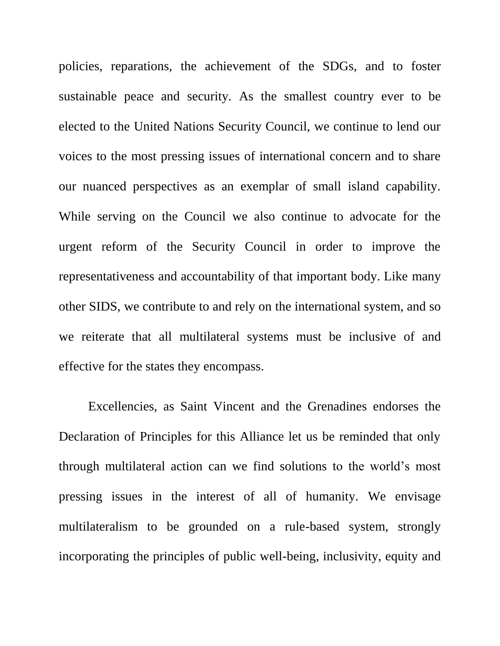policies, reparations, the achievement of the SDGs, and to foster sustainable peace and security. As the smallest country ever to be elected to the United Nations Security Council, we continue to lend our voices to the most pressing issues of international concern and to share our nuanced perspectives as an exemplar of small island capability. While serving on the Council we also continue to advocate for the urgent reform of the Security Council in order to improve the representativeness and accountability of that important body. Like many other SIDS, we contribute to and rely on the international system, and so we reiterate that all multilateral systems must be inclusive of and effective for the states they encompass.

Excellencies, as Saint Vincent and the Grenadines endorses the Declaration of Principles for this Alliance let us be reminded that only through multilateral action can we find solutions to the world's most pressing issues in the interest of all of humanity. We envisage multilateralism to be grounded on a rule-based system, strongly incorporating the principles of public well-being, inclusivity, equity and